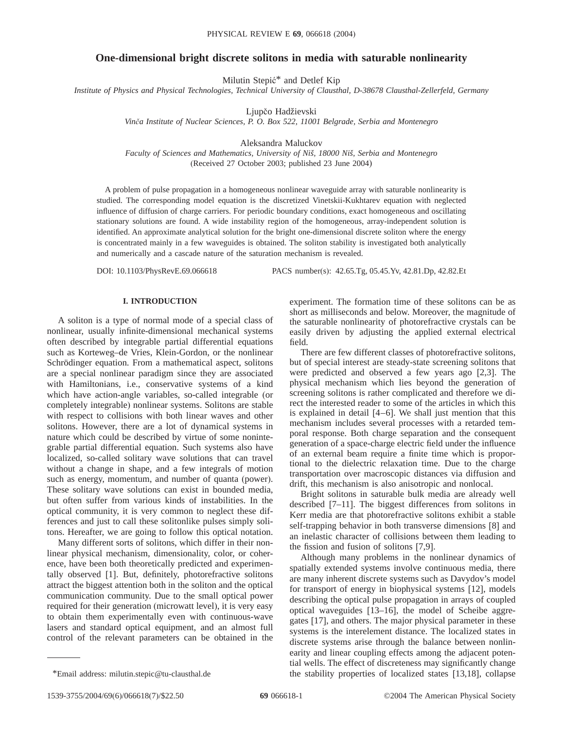# **One-dimensional bright discrete solitons in media with saturable nonlinearity**

Milutin Stepić\* and Detlef Kip

*Institute of Physics and Physical Technologies, Technical University of Clausthal, D-38678 Clausthal-Zellerfeld, Germany*

Ljupčo Hadžievski

*Vinča Institute of Nuclear Sciences, P. O. Box 522, 11001 Belgrade, Serbia and Montenegro*

Aleksandra Maluckov

*Faculty of Sciences and Mathematics, University of Niš, 18000 Niš, Serbia and Montenegro* (Received 27 October 2003; published 23 June 2004)

A problem of pulse propagation in a homogeneous nonlinear waveguide array with saturable nonlinearity is studied. The corresponding model equation is the discretized Vinetskii-Kukhtarev equation with neglected influence of diffusion of charge carriers. For periodic boundary conditions, exact homogeneous and oscillating stationary solutions are found. A wide instability region of the homogeneous, array-independent solution is identified. An approximate analytical solution for the bright one-dimensional discrete soliton where the energy is concentrated mainly in a few waveguides is obtained. The soliton stability is investigated both analytically and numerically and a cascade nature of the saturation mechanism is revealed.

DOI: 10.1103/PhysRevE.69.066618 PACS number(s): 42.65.Tg, 05.45.Yv, 42.81.Dp, 42.82.Et

### **I. INTRODUCTION**

A soliton is a type of normal mode of a special class of nonlinear, usually infinite-dimensional mechanical systems often described by integrable partial differential equations such as Korteweg–de Vries, Klein-Gordon, or the nonlinear Schrödinger equation. From a mathematical aspect, solitons are a special nonlinear paradigm since they are associated with Hamiltonians, i.e., conservative systems of a kind which have action-angle variables, so-called integrable (or completely integrable) nonlinear systems. Solitons are stable with respect to collisions with both linear waves and other solitons. However, there are a lot of dynamical systems in nature which could be described by virtue of some nonintegrable partial differential equation. Such systems also have localized, so-called solitary wave solutions that can travel without a change in shape, and a few integrals of motion such as energy, momentum, and number of quanta (power). These solitary wave solutions can exist in bounded media, but often suffer from various kinds of instabilities. In the optical community, it is very common to neglect these differences and just to call these solitonlike pulses simply solitons. Hereafter, we are going to follow this optical notation.

Many different sorts of solitons, which differ in their nonlinear physical mechanism, dimensionality, color, or coherence, have been both theoretically predicted and experimentally observed [1]. But, definitely, photorefractive solitons attract the biggest attention both in the soliton and the optical communication community. Due to the small optical power required for their generation (microwatt level), it is very easy to obtain them experimentally even with continuous-wave lasers and standard optical equipment, and an almost full control of the relevant parameters can be obtained in the experiment. The formation time of these solitons can be as short as milliseconds and below. Moreover, the magnitude of the saturable nonlinearity of photorefractive crystals can be easily driven by adjusting the applied external electrical field.

There are few different classes of photorefractive solitons, but of special interest are steady-state screening solitons that were predicted and observed a few years ago [2,3]. The physical mechanism which lies beyond the generation of screening solitons is rather complicated and therefore we direct the interested reader to some of the articles in which this is explained in detail [4–6]. We shall just mention that this mechanism includes several processes with a retarded temporal response. Both charge separation and the consequent generation of a space-charge electric field under the influence of an external beam require a finite time which is proportional to the dielectric relaxation time. Due to the charge transportation over macroscopic distances via diffusion and drift, this mechanism is also anisotropic and nonlocal.

Bright solitons in saturable bulk media are already well described [7–11]. The biggest differences from solitons in Kerr media are that photorefractive solitons exhibit a stable self-trapping behavior in both transverse dimensions [8] and an inelastic character of collisions between them leading to the fission and fusion of solitons [7,9].

Although many problems in the nonlinear dynamics of spatially extended systems involve continuous media, there are many inherent discrete systems such as Davydov's model for transport of energy in biophysical systems [12], models describing the optical pulse propagation in arrays of coupled optical waveguides [13–16], the model of Scheibe aggregates [17], and others. The major physical parameter in these systems is the interelement distance. The localized states in discrete systems arise through the balance between nonlinearity and linear coupling effects among the adjacent potential wells. The effect of discreteness may significantly change \*Email address: milutin.stepic@tu-clausthal.de the stability properties of localized states [13,18], collapse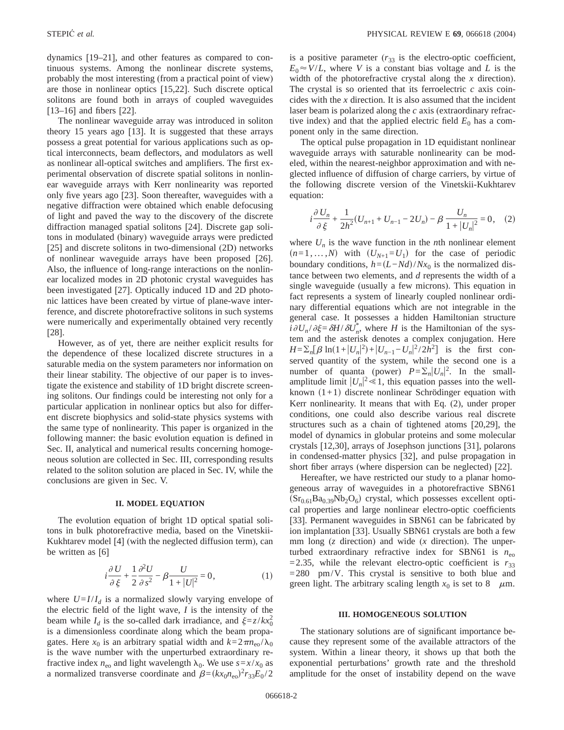dynamics [19–21], and other features as compared to continuous systems. Among the nonlinear discrete systems, probably the most interesting (from a practical point of view) are those in nonlinear optics [15,22]. Such discrete optical solitons are found both in arrays of coupled waveguides [13–16] and fibers [22].

The nonlinear waveguide array was introduced in soliton theory 15 years ago [13]. It is suggested that these arrays possess a great potential for various applications such as optical interconnects, beam deflectors, and modulators as well as nonlinear all-optical switches and amplifiers. The first experimental observation of discrete spatial solitons in nonlinear waveguide arrays with Kerr nonlinearity was reported only five years ago [23]. Soon thereafter, waveguides with a negative diffraction were obtained which enable defocusing of light and paved the way to the discovery of the discrete diffraction managed spatial solitons [24]. Discrete gap solitons in modulated (binary) waveguide arrays were predicted [25] and discrete solitons in two-dimensional (2D) networks of nonlinear waveguide arrays have been proposed [26]. Also, the influence of long-range interactions on the nonlinear localized modes in 2D photonic crystal waveguides has been investigated [27]. Optically induced 1D and 2D photonic lattices have been created by virtue of plane-wave interference, and discrete photorefractive solitons in such systems were numerically and experimentally obtained very recently [28].

However, as of yet, there are neither explicit results for the dependence of these localized discrete structures in a saturable media on the system parameters nor information on their linear stability. The objective of our paper is to investigate the existence and stability of 1D bright discrete screening solitons. Our findings could be interesting not only for a particular application in nonlinear optics but also for different discrete biophysics and solid-state physics systems with the same type of nonlinearity. This paper is organized in the following manner: the basic evolution equation is defined in Sec. II, analytical and numerical results concerning homogeneous solution are collected in Sec. III, corresponding results related to the soliton solution are placed in Sec. IV, while the conclusions are given in Sec. V.

#### **II. MODEL EQUATION**

The evolution equation of bright 1D optical spatial solitons in bulk photorefractive media, based on the Vinetskii-Kukhtarev model [4] (with the neglected diffusion term), can be written as [6]

$$
i\frac{\partial U}{\partial \xi} + \frac{1}{2} \frac{\partial^2 U}{\partial s^2} - \beta \frac{U}{1 + |U|^2} = 0,
$$
 (1)

where  $U = I/I_d$  is a normalized slowly varying envelope of the electric field of the light wave, *I* is the intensity of the beam while  $I_d$  is the so-called dark irradiance, and  $\dot{\xi} = z/kx_0^2$ is a dimensionless coordinate along which the beam propagates. Here  $x_0$  is an arbitrary spatial width and  $k = 2\pi n_{\rm eo} / \lambda_0$ is the wave number with the unperturbed extraordinary refractive index  $n_{\rm eo}$  and light wavelength  $\lambda_0$ . We use  $s = x/x_0$  as a normalized transverse coordinate and  $\beta = (kx_0n_{\text{eo}})^2r_{33}E_0/2$ 

is a positive parameter  $(r_{33}$  is the electro-optic coefficient,  $E_0 \approx V/L$ , where *V* is a constant bias voltage and *L* is the width of the photorefractive crystal along the *x* direction). The crystal is so oriented that its ferroelectric *c* axis coincides with the *x* direction. It is also assumed that the incident laser beam is polarized along the *c* axis (extraordinary refractive index) and that the applied electric field  $E_0$  has a component only in the same direction.

The optical pulse propagation in 1D equidistant nonlinear waveguide arrays with saturable nonlinearity can be modeled, within the nearest-neighbor approximation and with neglected influence of diffusion of charge carriers, by virtue of the following discrete version of the Vinetskii-Kukhtarev equation:

$$
i\frac{\partial U_n}{\partial \xi} + \frac{1}{2h^2} (U_{n+1} + U_{n-1} - 2U_n) - \beta \frac{U_n}{1 + |U_n|^2} = 0, \quad (2)
$$

where  $U_n$  is the wave function in the *n*th nonlinear element  $(n=1,...,N)$  with  $(U_{N+1}=U_1)$  for the case of periodic boundary conditions,  $h = (L - Nd)/Nx_0$  is the normalized distance between two elements, and *d* represents the width of a single waveguide (usually a few microns). This equation in fact represents a system of linearly coupled nonlinear ordinary differential equations which are not integrable in the general case. It possesses a hidden Hamiltonian structure  $\partial U_n / \partial \xi = \partial H / \partial U_n^*$ , where *H* is the Hamiltonian of the system and the asterisk denotes a complex conjugation. Here  $H = \sum_{n} [\beta \ln(1+|U_n|^2) + |U_{n-1} - U_n|^2 / 2h^2]$  is the first conserved quantity of the system, while the second one is a number of quanta (power)  $P = \sum_n |U_n|^2$ . In the smallamplitude limit  $|U_n|^2 \ll 1$ , this equation passes into the wellknown  $(1+1)$  discrete nonlinear Schrödinger equation with Kerr nonlinearity. It means that with Eq. (2), under proper conditions, one could also describe various real discrete structures such as a chain of tightened atoms [20,29], the model of dynamics in globular proteins and some molecular crystals [12,30], arrays of Josephson junctions [31], polarons in condensed-matter physics [32], and pulse propagation in short fiber arrays (where dispersion can be neglected) [22].

Hereafter, we have restricted our study to a planar homogeneous array of waveguides in a photorefractive SBN61  $(Sr_{0.61}Ba_{0.39}Nb_2O_6)$  crystal, which possesses excellent optical properties and large nonlinear electro-optic coefficients [33]. Permanent waveguides in SBN61 can be fabricated by ion implantation [33]. Usually SBN61 crystals are both a few mm long (*z* direction) and wide (*x* direction). The unperturbed extraordinary refractive index for SBN61 is  $n_{\text{eq}}$  $=$  2.35, while the relevant electro-optic coefficient is  $r_{33}$  $=280$  pm/V. This crystal is sensitive to both blue and green light. The arbitrary scaling length  $x_0$  is set to 8  $\mu$ m.

## **III. HOMOGENEOUS SOLUTION**

The stationary solutions are of significant importance because they represent some of the available attractors of the system. Within a linear theory, it shows up that both the exponential perturbations' growth rate and the threshold amplitude for the onset of instability depend on the wave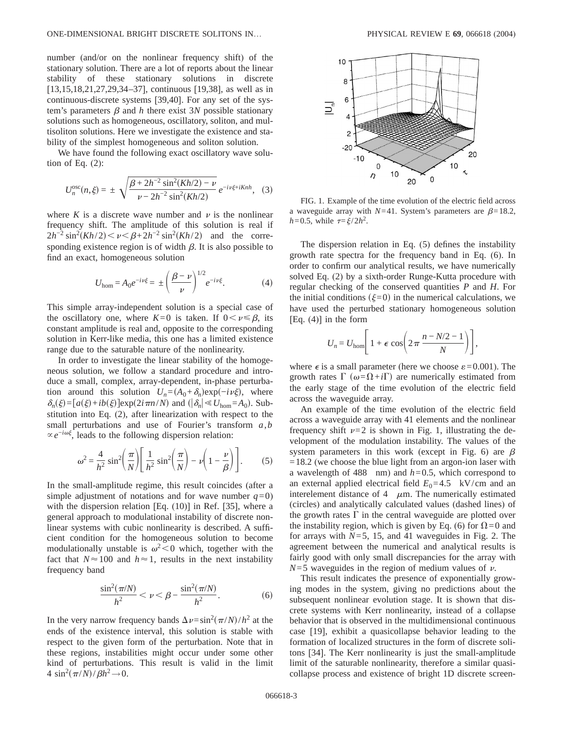number (and/or on the nonlinear frequency shift) of the stationary solution. There are a lot of reports about the linear stability of these stationary solutions in discrete [13,15,18,21,27,29,34–37], continuous [19,38], as well as in continuous-discrete systems [39,40]. For any set of the system's parameters  $\beta$  and *h* there exist 3*N* possible stationary solutions such as homogeneous, oscillatory, soliton, and multisoliton solutions. Here we investigate the existence and stability of the simplest homogeneous and soliton solution.

We have found the following exact oscillatory wave solution of Eq.  $(2)$ :

$$
U_n^{\rm osc}(n,\xi) = \pm \sqrt{\frac{\beta + 2h^{-2}\sin^2(Kh/2) - \nu}{\nu - 2h^{-2}\sin^2(Kh/2)}} \, e^{-i\nu\xi + iKnh}, \quad (3)
$$

where *K* is a discrete wave number and  $\nu$  is the nonlinear frequency shift. The amplitude of this solution is real if  $2h^{-2} \sin^2(Kh/2) < \nu < \beta + 2h^{-2} \sin^2(Kh/2)$  and the corresponding existence region is of width  $\beta$ . It is also possible to find an exact, homogeneous solution

$$
U_{\text{hom}} = A_0 e^{-i\nu\xi} = \pm \left(\frac{\beta - \nu}{\nu}\right)^{1/2} e^{-i\nu\xi}.
$$
 (4)

This simple array-independent solution is a special case of the oscillatory one, where  $K=0$  is taken. If  $0 < \nu \leq \beta$ , its constant amplitude is real and, opposite to the corresponding solution in Kerr-like media, this one has a limited existence range due to the saturable nature of the nonlinearity.

In order to investigate the linear stability of the homogeneous solution, we follow a standard procedure and introduce a small, complex, array-dependent, in-phase perturbation around this solution  $U_n = (A_0 + \delta_n) \exp(-i \nu \xi)$ , where  $\delta_n(\xi) = [a(\xi) + ib(\xi)] \exp(2i\pi n/N)$  and  $(|\delta_n| \le U_{\text{hom}} = A_0)$ . Substitution into Eq. (2), after linearization with respect to the small perturbations and use of Fourier's transform *a*,*b* ~*e*−*i*vj , leads to the following dispersion relation:

$$
\omega^2 = \frac{4}{h^2} \sin^2\left(\frac{\pi}{N}\right) \left[ \frac{1}{h^2} \sin^2\left(\frac{\pi}{N}\right) - \nu \left(1 - \frac{\nu}{\beta}\right) \right].
$$
 (5)

In the small-amplitude regime, this result coincides (after a simple adjustment of notations and for wave number  $q=0$ ) with the dispersion relation [Eq. (10)] in Ref. [35], where a general approach to modulational instability of discrete nonlinear systems with cubic nonlinearity is described. A sufficient condition for the homogeneous solution to become modulationally unstable is  $\omega^2$  < 0 which, together with the fact that  $N \approx 100$  and  $h \approx 1$ , results in the next instability frequency band

$$
\frac{\sin^2(\pi/N)}{h^2} < \nu < \beta - \frac{\sin^2(\pi/N)}{h^2}.\tag{6}
$$

In the very narrow frequency bands  $\Delta \nu = \sin^2(\pi/N)/h^2$  at the ends of the existence interval, this solution is stable with respect to the given form of the perturbation. Note that in these regions, instabilities might occur under some other kind of perturbations. This result is valid in the limit  $4 \sin^2(\pi/N)/\beta h^2 \rightarrow 0.$ 



FIG. 1. Example of the time evolution of the electric field across a waveguide array with  $N=41$ . System's parameters are  $\beta=18.2$ , *h*=0.5, while  $\tau = \xi/2h^2$ .

The dispersion relation in Eq. (5) defines the instability growth rate spectra for the frequency band in Eq. (6). In order to confirm our analytical results, we have numerically solved Eq. (2) by a sixth-order Runge-Kutta procedure with regular checking of the conserved quantities *P* and *H*. For the initial conditions ( $\xi=0$ ) in the numerical calculations, we have used the perturbed stationary homogeneous solution  $[Eq. (4)]$  in the form

$$
U_n = U_{\text{hom}} \left[ 1 + \epsilon \cos \left( 2\pi \frac{n - N/2 - 1}{N} \right) \right],
$$

where  $\epsilon$  is a small parameter (here we choose  $\epsilon$ =0.001). The growth rates  $\Gamma(\omega=\Omega+i\Gamma)$  are numerically estimated from the early stage of the time evolution of the electric field across the waveguide array.

An example of the time evolution of the electric field across a waveguide array with 41 elements and the nonlinear frequency shift  $\nu=2$  is shown in Fig. 1, illustrating the development of the modulation instability. The values of the system parameters in this work (except in Fig. 6) are  $\beta$  $=18.2$  (we choose the blue light from an argon-ion laser with a wavelength of 488 nm) and *h*=0.5, which correspond to an external applied electrical field  $E_0$ =4.5 kV/cm and an interelement distance of  $4 \mu m$ . The numerically estimated (circles) and analytically calculated values (dashed lines) of the growth rates  $\Gamma$  in the central waveguide are plotted over the instability region, which is given by Eq. (6) for  $\Omega$ =0 and for arrays with  $N=5$ , 15, and 41 waveguides in Fig. 2. The agreement between the numerical and analytical results is fairly good with only small discrepancies for the array with  $N=5$  waveguides in the region of medium values of  $\nu$ .

This result indicates the presence of exponentially growing modes in the system, giving no predictions about the subsequent nonlinear evolution stage. It is shown that discrete systems with Kerr nonlinearity, instead of a collapse behavior that is observed in the multidimensional continuous case [19], exhibit a quasicollapse behavior leading to the formation of localized structures in the form of discrete solitons [34]. The Kerr nonlinearity is just the small-amplitude limit of the saturable nonlinearity, therefore a similar quasicollapse process and existence of bright 1D discrete screen-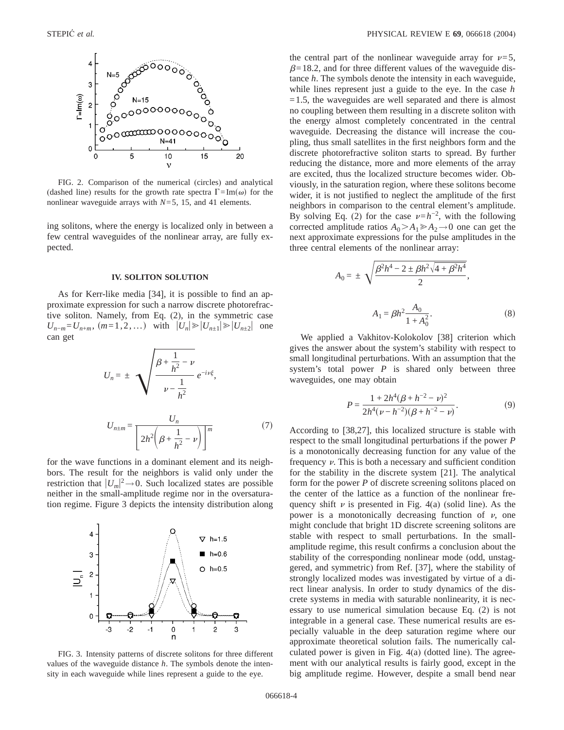

FIG. 2. Comparison of the numerical (circles) and analytical (dashed line) results for the growth rate spectra  $\Gamma = \text{Im}(\omega)$  for the nonlinear waveguide arrays with *N*=5, 15, and 41 elements.

ing solitons, where the energy is localized only in between a few central waveguides of the nonlinear array, are fully expected.

### **IV. SOLITON SOLUTION**

As for Kerr-like media [34], it is possible to find an approximate expression for such a narrow discrete photorefractive soliton. Namely, from Eq. (2), in the symmetric case *U<sub>n−m</sub>*=*U*<sub>*n+m*</sub>, (*m*=1,2,...) with  $|U_n| \ge |U_{n\pm1}| \ge |U_{n\pm2}|$  one can get

$$
U_n = \pm \sqrt{\frac{\beta + \frac{1}{h^2} - \nu}{\nu - \frac{1}{h^2}}} e^{-i\nu\xi},
$$
  

$$
U_{n \pm m} = \frac{U_n}{\left[2h^2\left(\beta + \frac{1}{h^2} - \nu\right)\right]^m}
$$
(7)

for the wave functions in a dominant element and its neighbors. The result for the neighbors is valid only under the restriction that  $|U_m|^2 \to 0$ . Such localized states are possible neither in the small-amplitude regime nor in the oversaturation regime. Figure 3 depicts the intensity distribution along



FIG. 3. Intensity patterns of discrete solitons for three different values of the waveguide distance *h*. The symbols denote the intensity in each waveguide while lines represent a guide to the eye.

the central part of the nonlinear waveguide array for  $\nu=5$ ,  $\beta$ =18.2, and for three different values of the waveguide distance *h*. The symbols denote the intensity in each waveguide, while lines represent just a guide to the eye. In the case *h*  $=1.5$ , the waveguides are well separated and there is almost no coupling between them resulting in a discrete soliton with the energy almost completely concentrated in the central waveguide. Decreasing the distance will increase the coupling, thus small satellites in the first neighbors form and the discrete photorefractive soliton starts to spread. By further reducing the distance, more and more elements of the array are excited, thus the localized structure becomes wider. Obviously, in the saturation region, where these solitons become wider, it is not justified to neglect the amplitude of the first neighbors in comparison to the central element's amplitude. By solving Eq. (2) for the case  $\nu=h^{-2}$ , with the following corrected amplitude ratios  $A_0 > A_1 \geq A_2 \to 0$  one can get the next approximate expressions for the pulse amplitudes in the three central elements of the nonlinear array:

$$
A_0 = \pm \sqrt{\frac{\beta^2 h^4 - 2 \pm \beta h^2 \sqrt{4 + \beta^2 h^4}}{2}},
$$
  

$$
A_1 = \beta h^2 \frac{A_0}{1 + A_0^2}.
$$
 (8)

We applied a Vakhitov-Kolokolov [38] criterion which gives the answer about the system's stability with respect to small longitudinal perturbations. With an assumption that the system's total power *P* is shared only between three waveguides, one may obtain

$$
P = \frac{1 + 2h^4(\beta + h^{-2} - \nu)^2}{2h^4(\nu - h^{-2})(\beta + h^{-2} - \nu)}.
$$
\n(9)

According to [38,27], this localized structure is stable with respect to the small longitudinal perturbations if the power *P* is a monotonically decreasing function for any value of the frequency  $\nu$ . This is both a necessary and sufficient condition for the stability in the discrete system [21]. The analytical form for the power *P* of discrete screening solitons placed on the center of the lattice as a function of the nonlinear frequency shift  $\nu$  is presented in Fig. 4(a) (solid line). As the power is a monotonically decreasing function of  $\nu$ , one might conclude that bright 1D discrete screening solitons are stable with respect to small perturbations. In the smallamplitude regime, this result confirms a conclusion about the stability of the corresponding nonlinear mode (odd, unstaggered, and symmetric) from Ref. [37], where the stability of strongly localized modes was investigated by virtue of a direct linear analysis. In order to study dynamics of the discrete systems in media with saturable nonlinearity, it is necessary to use numerical simulation because Eq. (2) is not integrable in a general case. These numerical results are especially valuable in the deep saturation regime where our approximate theoretical solution fails. The numerically calculated power is given in Fig. 4(a) (dotted line). The agreement with our analytical results is fairly good, except in the big amplitude regime. However, despite a small bend near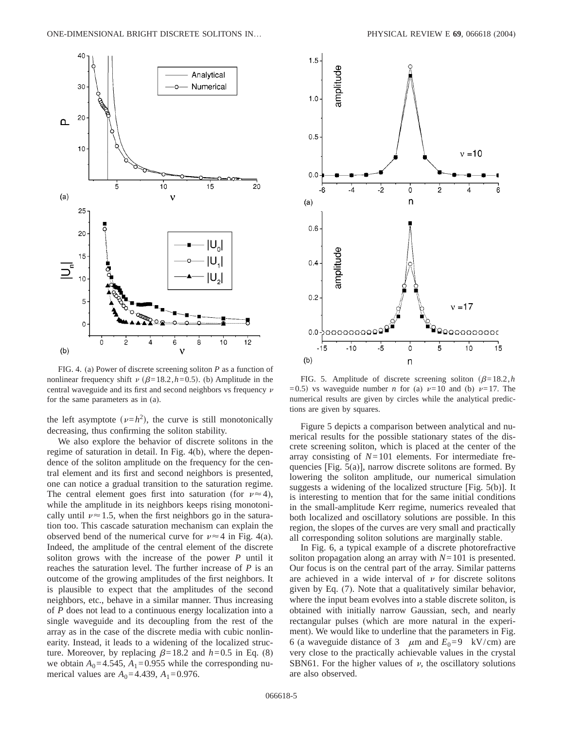

FIG. 4. (a) Power of discrete screening soliton *P* as a function of nonlinear frequency shift  $\nu$  ( $\beta$ =18.2,*h*=0.5). (b) Amplitude in the central waveguide and its first and second neighbors vs frequency  $\nu$ for the same parameters as in (a).

the left asymptote  $(\nu = h^2)$ , the curve is still monotonically decreasing, thus confirming the soliton stability.

We also explore the behavior of discrete solitons in the regime of saturation in detail. In Fig. 4(b), where the dependence of the soliton amplitude on the frequency for the central element and its first and second neighbors is presented, one can notice a gradual transition to the saturation regime. The central element goes first into saturation (for  $\nu \approx 4$ ), while the amplitude in its neighbors keeps rising monotonically until  $\nu \approx 1.5$ , when the first neighbors go in the saturation too. This cascade saturation mechanism can explain the observed bend of the numerical curve for  $\nu \approx 4$  in Fig. 4(a). Indeed, the amplitude of the central element of the discrete soliton grows with the increase of the power *P* until it reaches the saturation level. The further increase of *P* is an outcome of the growing amplitudes of the first neighbors. It is plausible to expect that the amplitudes of the second neighbors, etc., behave in a similar manner. Thus increasing of *P* does not lead to a continuous energy localization into a single waveguide and its decoupling from the rest of the array as in the case of the discrete media with cubic nonlinearity. Instead, it leads to a widening of the localized structure. Moreover, by replacing  $\beta=18.2$  and  $h=0.5$  in Eq. (8) we obtain  $A_0$ =4.545,  $A_1$ =0.955 while the corresponding numerical values are  $A_0 = 4.439$ ,  $A_1 = 0.976$ .



FIG. 5. Amplitude of discrete screening soliton  $(\beta=18.2, h$ =0.5) vs waveguide number *n* for (a)  $\nu=10$  and (b)  $\nu=17$ . The numerical results are given by circles while the analytical predictions are given by squares.

Figure 5 depicts a comparison between analytical and numerical results for the possible stationary states of the discrete screening soliton, which is placed at the center of the array consisting of  $N=101$  elements. For intermediate frequencies [Fig. 5(a)], narrow discrete solitons are formed. By lowering the soliton amplitude, our numerical simulation suggests a widening of the localized structure [Fig. 5(b)]. It is interesting to mention that for the same initial conditions in the small-amplitude Kerr regime, numerics revealed that both localized and oscillatory solutions are possible. In this region, the slopes of the curves are very small and practically all corresponding soliton solutions are marginally stable.

In Fig. 6, a typical example of a discrete photorefractive soliton propagation along an array with *N*=101 is presented. Our focus is on the central part of the array. Similar patterns are achieved in a wide interval of  $\nu$  for discrete solitons given by Eq. (7). Note that a qualitatively similar behavior, where the input beam evolves into a stable discrete soliton, is obtained with initially narrow Gaussian, sech, and nearly rectangular pulses (which are more natural in the experiment). We would like to underline that the parameters in Fig. 6 (a waveguide distance of 3  $\mu$ m and  $E_0=9$  kV/cm) are very close to the practically achievable values in the crystal SBN61. For the higher values of  $\nu$ , the oscillatory solutions are also observed.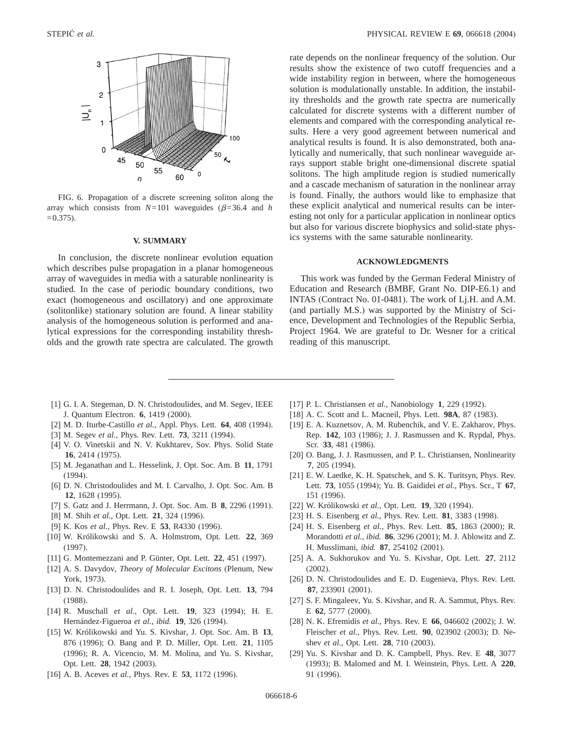

FIG. 6. Propagation of a discrete screening soliton along the array which consists from  $N=101$  waveguides ( $\beta=36.4$  and *h*  $=0.375$ ).

#### **V. SUMMARY**

In conclusion, the discrete nonlinear evolution equation which describes pulse propagation in a planar homogeneous array of waveguides in media with a saturable nonlinearity is studied. In the case of periodic boundary conditions, two exact (homogeneous and oscillatory) and one approximate (solitonlike) stationary solution are found. A linear stability analysis of the homogeneous solution is performed and analytical expressions for the corresponding instability thresholds and the growth rate spectra are calculated. The growth rate depends on the nonlinear frequency of the solution. Our results show the existence of two cutoff frequencies and a wide instability region in between, where the homogeneous solution is modulationally unstable. In addition, the instability thresholds and the growth rate spectra are numerically calculated for discrete systems with a different number of elements and compared with the corresponding analytical results. Here a very good agreement between numerical and analytical results is found. It is also demonstrated, both analytically and numerically, that such nonlinear waveguide arrays support stable bright one-dimensional discrete spatial solitons. The high amplitude region is studied numerically and a cascade mechanism of saturation in the nonlinear array is found. Finally, the authors would like to emphasize that these explicit analytical and numerical results can be interesting not only for a particular application in nonlinear optics but also for various discrete biophysics and solid-state physics systems with the same saturable nonlinearity.

## **ACKNOWLEDGMENTS**

This work was funded by the German Federal Ministry of Education and Research (BMBF, Grant No. DIP-E6.1) and INTAS (Contract No. 01-0481). The work of Lj.H. and A.M. (and partially M.S.) was supported by the Ministry of Science, Development and Technologies of the Republic Serbia, Project 1964. We are grateful to Dr. Wesner for a critical reading of this manuscript.

- [1] G. I. A. Stegeman, D. N. Christodoulides, and M. Segev, IEEE J. Quantum Electron. **6**, 1419 (2000).
- [2] M. D. Iturbe-Castillo *et al.*, Appl. Phys. Lett. **64**, 408 (1994).
- [3] M. Segev *et al.*, Phys. Rev. Lett. **73**, 3211 (1994).
- [4] V. O. Vinetskii and N. V. Kukhtarev, Sov. Phys. Solid State **16**, 2414 (1975).
- [5] M. Jeganathan and L. Hesselink, J. Opt. Soc. Am. B **11**, 1791 (1994).
- [6] D. N. Christodoulides and M. I. Carvalho, J. Opt. Soc. Am. B **12**, 1628 (1995).
- [7] S. Gatz and J. Herrmann, J. Opt. Soc. Am. B **8**, 2296 (1991).
- [8] M. Shih *et al.*, Opt. Lett. **21**, 324 (1996).
- [9] K. Kos *et al.*, Phys. Rev. E **53**, R4330 (1996).
- [10] W. Królikowski and S. A. Holmstrom, Opt. Lett. **22**, 369 (1997).
- [11] G. Montemezzani and P. Günter, Opt. Lett. **22**, 451 (1997).
- [12] A. S. Davydov, *Theory of Molecular Excitons* (Plenum, New York, 1973).
- [13] D. N. Christodoulides and R. I. Joseph, Opt. Lett. **13**, 794 (1988).
- [14] R. Muschall *et al.*, Opt. Lett. **19**, 323 (1994); H. E. Hernández-Figueroa *et al.*, *ibid.* **19**, 326 (1994).
- [15] W. Królikowski and Yu. S. Kivshar, J. Opt. Soc. Am. B **13**, 876 (1996); O. Bang and P. D. Miller, Opt. Lett. **21**, 1105 (1996); R. A. Vicencio, M. M. Molina, and Yu. S. Kivshar, Opt. Lett. **28**, 1942 (2003).
- [16] A. B. Aceves *et al.*, Phys. Rev. E **53**, 1172 (1996).
- [17] P. L. Christiansen *et al.*, Nanobiology **1**, 229 (1992).
- [18] A. C. Scott and L. Macneil, Phys. Lett. **98A**, 87 (1983).
- [19] E. A. Kuznetsov, A. M. Rubenchik, and V. E. Zakharov, Phys. Rep. **142**, 103 (1986); J. J. Rasmussen and K. Rypdal, Phys. Scr. **33**, 481 (1986).
- [20] O. Bang, J. J. Rasmussen, and P. L. Christiansen, Nonlinearity **7**, 205 (1994).
- [21] E. W. Laedke, K. H. Spatschek, and S. K. Turitsyn, Phys. Rev. Lett. **73**, 1055 (1994); Yu. B. Gaididei *et al.*, Phys. Scr., T **67**, 151 (1996).
- [22] W. Królikowski *et al.*, Opt. Lett. **19**, 320 (1994).
- [23] H. S. Eisenberg *et al.*, Phys. Rev. Lett. **81**, 3383 (1998).
- [24] H. S. Eisenberg *et al.*, Phys. Rev. Lett. **85**, 1863 (2000); R. Morandotti *et al.*, *ibid.* **86**, 3296 (2001); M. J. Ablowitz and Z. H. Musslimani, *ibid.* **87**, 254102 (2001).
- [25] A. A. Sukhorukov and Yu. S. Kivshar, Opt. Lett. **27**, 2112 (2002).
- [26] D. N. Christodoulides and E. D. Eugenieva, Phys. Rev. Lett. **87**, 233901 (2001).
- [27] S. F. Mingaleev, Yu. S. Kivshar, and R. A. Sammut, Phys. Rev. E **62**, 5777 (2000).
- [28] N. K. Efremidis *et al.*, Phys. Rev. E **66**, 046602 (2002); J. W. Fleischer *et al.*, Phys. Rev. Lett. **90**, 023902 (2003); D. Neshev *et al.*, Opt. Lett. **28**, 710 (2003).
- [29] Yu. S. Kivshar and D. K. Campbell, Phys. Rev. E **48**, 3077 (1993); B. Malomed and M. I. Weinstein, Phys. Lett. A **220**, 91 (1996).